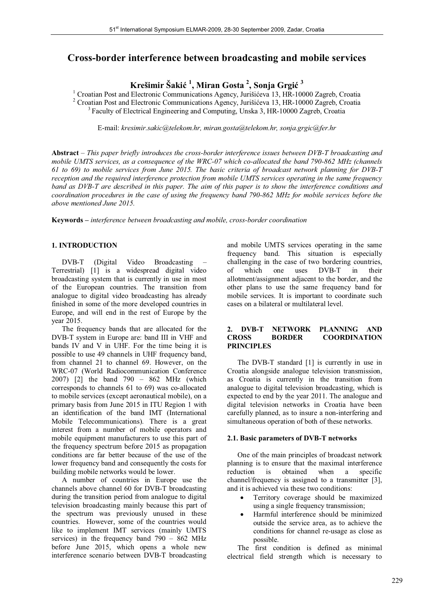# **Cross-border interference between broadcasting and mobile services**

 $\mathbf{K}$ rešimir Šakić <sup>1</sup>, Miran Gosta <sup>2</sup>, Sonja Grgić <sup>3</sup>

<sup>1</sup> Croatian Post and Electronic Communications Agency, Jurišićeva 13, HR-10000 Zagreb, Croatia <sup>2</sup> Croatian Post and Electronic Communications Agency, Jurišićeva 13, HR-10000 Zagreb, Croatia<sup>3</sup> Faculty of Electrical Engineering and Computing, Unska 3, HR-10000 Zagreb, Croatia

E-mail: *kresimir.sakic@telekom.hr, miran.gosta@telekom.hr, sonja.grgic@fer.hr*

**Abstract** – *This paper briefly introduces the cross-border interference issues between DVB-T broadcasting and mobile UMTS services, as a consequence of the WRC-07 which co-allocated the band 790-862 MHz (channels 61 to 69) to mobile services from June 2015. The basic criteria of broadcast network planning for DVB-T reception and the required interference protection from mobile UMTS services operating in the same frequency band as DVB-T are described in this paper. The aim of this paper is to show the interference conditions and coordination procedures in the case of using the frequency band 790-862 MHz for mobile services before the above mentioned June 2015.*

**Keywords –** *interference between broadcasting and mobile, cross-border coordination*

# **1. INTRODUCTION**

 DVB-T (Digital Video Broadcasting – Terrestrial) [1] is a widespread digital video broadcasting system that is currently in use in most of the European countries. The transition from analogue to digital video broadcasting has already finished in some of the more developed countries in Europe, and will end in the rest of Europe by the year 2015.

 The frequency bands that are allocated for the DVB-T system in Europe are: band III in VHF and bands IV and V in UHF. For the time being it is possible to use 49 channels in UHF frequency band, from channel 21 to channel 69. However, on the WRC-07 (World Radiocommunication Conference 2007) [2] the band 790 – 862 MHz (which corresponds to channels 61 to 69) was co-allocated to mobile services (except aeronautical mobile), on a primary basis from June 2015 in ITU Region 1 with an identification of the band IMT (International Mobile Telecommunications). There is a great interest from a number of mobile operators and mobile equipment manufacturers to use this part of the frequency spectrum before 2015 as propagation conditions are far better because of the use of the lower frequency band and consequently the costs for building mobile networks would be lower.

 A number of countries in Europe use the channels above channel 60 for DVB-T broadcasting during the transition period from analogue to digital television broadcasting mainly because this part of the spectrum was previously unused in these countries. However, some of the countries would like to implement IMT services (mainly UMTS services) in the frequency band  $790 - 862$  MHz before June 2015, which opens a whole new interference scenario between DVB-T broadcasting and mobile UMTS services operating in the same frequency band. This situation is especially challenging in the case of two bordering countries, of which one uses DVB-T in their allotment/assignment adjacent to the border, and the other plans to use the same frequency band for mobile services. It is important to coordinate such cases on a bilateral or multilateral level.

# **2. DVB-T NETWORK PLANNING AND CROSS BORDER COORDINATION PRINCIPLES**

 The DVB-T standard [1] is currently in use in Croatia alongside analogue television transmission, as Croatia is currently in the transition from analogue to digital television broadcasting, which is expected to end by the year 2011. The analogue and digital television networks in Croatia have been carefully planned, as to insure a non-interfering and simultaneous operation of both of these networks.

#### **2.1. Basic parameters of DVB-T networks**

 One of the main principles of broadcast network planning is to ensure that the maximal interference<br>reduction is obtained when a specific reduction is obtained when a specific channel/frequency is assigned to a transmitter [3], and it is achieved via these two conditions:

- - Territory coverage should be maximized using a single frequency transmission;
- - Harmful interference should be minimized outside the service area, as to achieve the conditions for channel re-usage as close as possible.

 The first condition is defined as minimal electrical field strength which is necessary to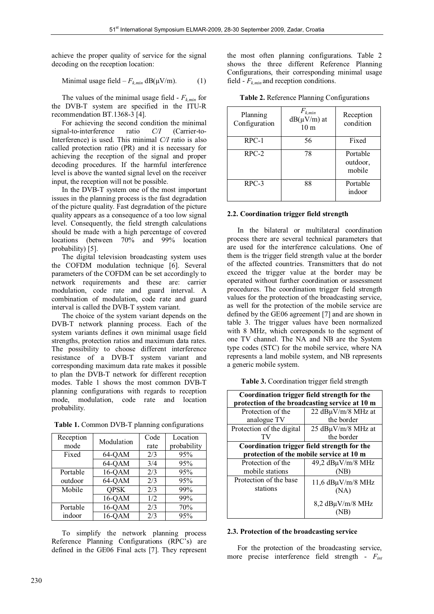achieve the proper quality of service for the signal decoding on the reception location:

$$
Minimal usage field - F_{k,min} dB(\mu V/m). \tag{1}
$$

The values of the minimal usage field -  $F_{k,min}$  for the DVB-T system are specified in the ITU-R recommendation BT.1368-3 [4].

 For achieving the second condition the minimal signal-to-interference ratio *C/I* (Carrier-to-Interference) is used. This minimal *C/I* ratio is also called protection ratio (PR) and it is necessary for achieving the reception of the signal and proper decoding procedures. If the harmful interference level is above the wanted signal level on the receiver input, the reception will not be possible.

 In the DVB-T system one of the most important issues in the planning process is the fast degradation of the picture quality. Fast degradation of the picture quality appears as a consequence of a too low signal level. Consequently, the field strength calculations should be made with a high percentage of covered locations (between 70% and 99% location probability) [5].

The digital television broadcasting system uses the COFDM modulation technique [6]. Several parameters of the COFDM can be set accordingly to network requirements and these are: carrier modulation, code rate and guard interval. A combination of modulation, code rate and guard interval is called the DVB-T system variant.

 The choice of the system variant depends on the DVB-T network planning process. Each of the system variants defines it own minimal usage field strengths, protection ratios and maximum data rates. The possibility to choose different interference resistance of a DVB-T system variant and corresponding maximum data rate makes it possible to plan the DVB-T network for different reception modes. Table 1 shows the most common DVB-T planning configurations with regards to reception mode, modulation, code rate and location probability.

|  |  |  |  | Table 1. Common DVB-T planning configurations |  |
|--|--|--|--|-----------------------------------------------|--|
|--|--|--|--|-----------------------------------------------|--|

| Reception | Modulation  | Code | Location    |
|-----------|-------------|------|-------------|
| mode      |             | rate | probability |
| Fixed     | 64-QAM      | 2/3  | 95%         |
|           | 64-QAM      | 3/4  | 95%         |
| Portable  | 16-QAM      | 2/3  | 95%         |
| outdoor   | 64-QAM      | 2/3  | 95%         |
| Mobile    | <b>QPSK</b> | 2/3  | 99%         |
|           | 16-QAM      | 1/2  | 99%         |
| Portable  | 16-QAM      | 2/3  | 70%         |
| indoor    | 16-OAM      | 2/3  | 95%         |

 To simplify the network planning process Reference Planning Configurations (RPC's) are defined in the GE06 Final acts [7]. They represent the most often planning configurations. Table 2 shows the three different Reference Planning Configurations, their corresponding minimal usage field -  $F_{k,min}$  and reception conditions.

|  |  |  | Table 2. Reference Planning Configurations |
|--|--|--|--------------------------------------------|
|--|--|--|--------------------------------------------|

| Planning<br>Configuration | $F_{k,min}$<br>$dB(\mu V/m)$ at<br>10 <sub>m</sub> | Reception<br>condition         |
|---------------------------|----------------------------------------------------|--------------------------------|
| $RPC-1$                   | 56                                                 | Fixed                          |
| $RPC-2$                   | 78                                                 | Portable<br>outdoor,<br>mobile |
| $RPC-3$                   | 88                                                 | Portable<br>indoor             |

### **2.2. Coordination trigger field strength**

 In the bilateral or multilateral coordination process there are several technical parameters that are used for the interference calculations. One of them is the trigger field strength value at the border of the affected countries. Transmitters that do not exceed the trigger value at the border may be operated without further coordination or assessment procedures. The coordination trigger field strength values for the protection of the broadcasting service, as well for the protection of the mobile service are defined by the GE06 agreement [7] and are shown in table 3. The trigger values have been normalized with 8 MHz, which corresponds to the segment of one TV channel. The NA and NB are the System type codes (STC) for the mobile service, where NA represents a land mobile system, and NB represents a generic mobile system.

**Table 3.** Coordination trigger field strength

| Coordination trigger field strength for the<br>protection of the broadcasting service at 10 m |  |  |  |  |
|-----------------------------------------------------------------------------------------------|--|--|--|--|
| 22 dBµV/m/8 MHz at                                                                            |  |  |  |  |
| the border                                                                                    |  |  |  |  |
| $25 \text{ dB}\mu\text{V}/\text{m}/8 \text{ MHz}$ at                                          |  |  |  |  |
| the border                                                                                    |  |  |  |  |
| Coordination trigger field strength for the                                                   |  |  |  |  |
| protection of the mobile service at 10 m                                                      |  |  |  |  |
| $49,2$ dB $\mu$ V/m/8 MHz                                                                     |  |  |  |  |
| (NB)                                                                                          |  |  |  |  |
| 11,6 $dB\mu V/m/8$ MHz                                                                        |  |  |  |  |
| (NA)                                                                                          |  |  |  |  |
| $8,2$ dB $\mu$ V/m/8 MHz                                                                      |  |  |  |  |
|                                                                                               |  |  |  |  |

# **2.3. Protection of the broadcasting service**

 For the protection of the broadcasting service, more precise interference field strength - *Fint*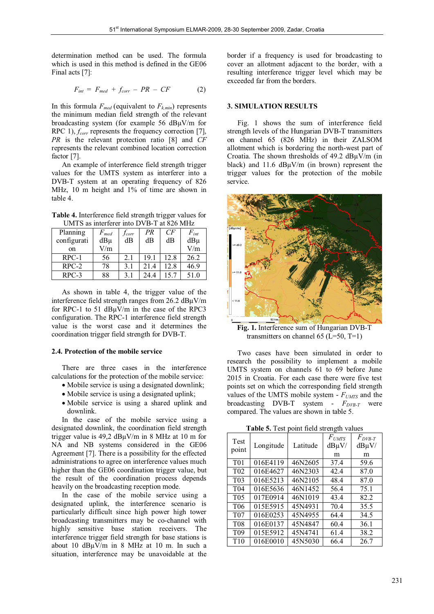determination method can be used. The formula which is used in this method is defined in the GE06 Final acts [7]:

$$
F_{int} = F_{med} + f_{corr} - PR - CF \tag{2}
$$

In this formula  $F_{med}$  (equivalent to  $F_{k,min}$ ) represents the minimum median field strength of the relevant broadcasting system (for example 56 dBμV/m for RPC 1),  $f_{corr}$  represents the frequency correction [7], *PR* is the relevant protection ratio [8] and *CF* represents the relevant combined location correction factor [7].

 An example of interference field strength trigger values for the UMTS system as interferer into a DVB-T system at an operating frequency of 826 MHz, 10 m height and 1% of time are shown in table 4.

**Table 4.** Interference field strength trigger values for UMTS as interferer into DVB-T at 826 MHz

| Planning    | $F_{\mathit{med}}$ | <i>Jcorr</i> | PR   | CF   | $F_{int}$ |
|-------------|--------------------|--------------|------|------|-----------|
| configurati | $dB\mu$            | dB           | dB   | dB   | $dB\mu$   |
| on          | V/m                |              |      |      | V/m       |
| $RPC-1$     | 56                 | 2.1          | 19.1 | 12.8 | 26.2      |
| $RPC-2$     | 78                 | 3.1          | 21.4 | 12.8 | 46.9      |
| $RPC-3$     | 88                 | 3.1          | 24.4 | 15.7 | 51.0      |

 As shown in table 4, the trigger value of the interference field strength ranges from 26.2 dBμV/m for RPC-1 to 51 dBμV/m in the case of the RPC3 configuration. The RPC-1 interference field strength value is the worst case and it determines the coordination trigger field strength for DVB-T.

#### **2.4. Protection of the mobile service**

 There are three cases in the interference calculations for the protection of the mobile service:

- Mobile service is using a designated downlink;
- Mobile service is using a designated uplink;
- Mobile service is using a shared uplink and downlink.

 In the case of the mobile service using a designated downlink, the coordination field strength trigger value is 49,2 dBμV/m in 8 MHz at 10 m for NA and NB systems considered in the GE06 Agreement [7]. There is a possibility for the effected administrations to agree on interference values much higher than the GE06 coordination trigger value, but the result of the coordination process depends heavily on the broadcasting reception mode.

 In the case of the mobile service using a designated uplink, the interference scenario is particularly difficult since high power high tower broadcasting transmitters may be co-channel with highly sensitive base station receivers. The interference trigger field strength for base stations is about 10 dBμV/m in 8 MHz at 10 m. In such a situation, interference may be unavoidable at the border if a frequency is used for broadcasting to cover an allotment adjacent to the border, with a resulting interference trigger level which may be exceeded far from the borders.

#### **3. SIMULATION RESULTS**

Fig. 1 shows the sum of interference field strength levels of the Hungarian DVB-T transmitters on channel 65 (826 MHz) in their ZALSOM allotment which is bordering the north-west part of Croatia. The shown thresholds of  $49.2 \text{ dB} \mu \text{V/m}$  (in black) and  $11.6$  dB $\mu$ V/m (in brown) represent the trigger values for the protection of the mobile service.



**Fig. 1.** Interference sum of Hungarian DVB-T transmitters on channel 65 ( $L=50$ ,  $T=1$ )

 Two cases have been simulated in order to research the possibility to implement a mobile UMTS system on channels 61 to 69 before June 2015 in Croatia. For each case there were five test points set on which the corresponding field strength values of the UMTS mobile system -  $F_{UMTS}$  and the broadcasting DVB-T system -  $F_{DVB-T}$  were compared. The values are shown in table 5.

**Table 5.** Test point field strength values

| Test<br>point    | Longitude | Latitude | $F_{UMTS}$<br>$dB\mu V/$ | $F_{DVB-T}$<br>$dB\mu V/$ |
|------------------|-----------|----------|--------------------------|---------------------------|
|                  |           |          | m                        | m                         |
| T <sub>0</sub> 1 | 016E4119  | 46N2605  | 37.4                     | 59.6                      |
| T <sub>0</sub> 2 | 016E4627  | 46N2303  | 42.4                     | 87.0                      |
| T <sub>0</sub> 3 | 016E5213  | 46N2105  | 48.4                     | 87.0                      |
| T <sub>04</sub>  | 016E5636  | 46N1452  | 56.4                     | 75.1                      |
| T <sub>05</sub>  | 017E0914  | 46N1019  | 43.4                     | 82.2                      |
| T <sub>06</sub>  | 015E5915  | 45N4931  | 70.4                     | 35.5                      |
| T <sub>07</sub>  | 016E0253  | 45N4955  | 64.4                     | 34.5                      |
| T <sub>08</sub>  | 016E0137  | 45N4847  | 60.4                     | 36.1                      |
| T <sub>09</sub>  | 015E5912  | 45N4741  | 61.4                     | 38.2                      |
| T <sub>10</sub>  | 016E0010  | 45N5030  | 66.4                     | 26.7                      |